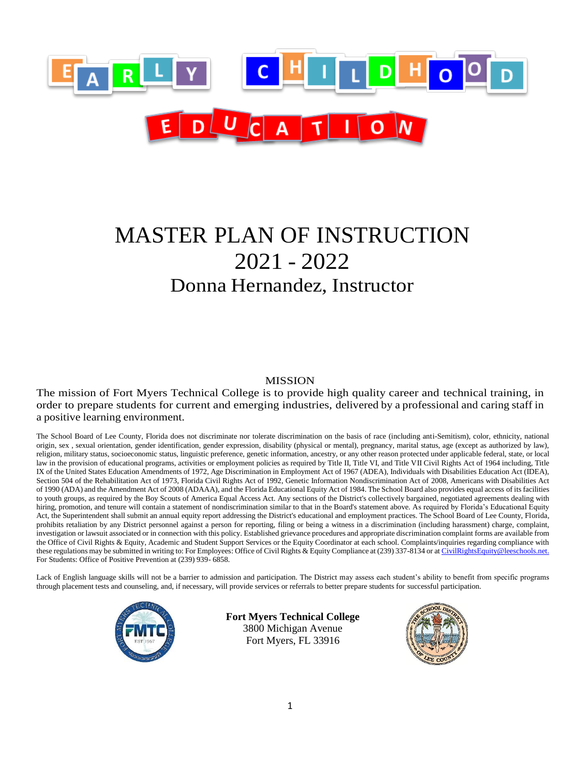

# MASTER PLAN OF INSTRUCTION 2021 - 2022 Donna Hernandez, Instructor

### MISSION

The mission of Fort Myers Technical College is to provide high quality career and technical training, in order to prepare students for current and emerging industries, delivered by a professional and caring staff in a positive learning environment.

The School Board of Lee County, Florida does not discriminate nor tolerate discrimination on the basis of race (including anti-Semitism), color, ethnicity, national origin, sex , sexual orientation, gender identification, gender expression, disability (physical or mental), pregnancy, marital status, age (except as authorized by law), religion, military status, socioeconomic status, linguistic preference, genetic information, ancestry, or any other reason protected under applicable federal, state, or local law in the provision of educational programs, activities or employment policies as required by Title II, Title VI, and Title VII Civil Rights Act of 1964 including, Title IX of the United States Education Amendments of 1972, Age Discrimination in Employment Act of 1967 (ADEA), Individuals with Disabilities Education Act (IDEA), Section 504 of the Rehabilitation Act of 1973, Florida Civil Rights Act of 1992, Genetic Information Nondiscrimination Act of 2008, Americans with Disabilities Act of 1990 (ADA) and the Amendment Act of 2008 (ADAAA), and the Florida Educational Equity Act of 1984. The School Board also provides equal access of its facilities to youth groups, as required by the Boy Scouts of America Equal Access Act. Any sections of the District's collectively bargained, negotiated agreements dealing with hiring, promotion, and tenure will contain a statement of nondiscrimination similar to that in the Board's statement above. As required by Florida's Educational Equity Act, the Superintendent shall submit an annual equity report addressing the District's educational and employment practices. The School Board of Lee County, Florida, prohibits retaliation by any District personnel against a person for reporting, filing or being a witness in a discrimination (including harassment) charge, complaint, investigation or lawsuit associated or in connection with this policy. Established grievance procedures and appropriate discrimination complaint forms are available from the Office of Civil Rights & Equity, Academic and Student Support Services or the Equity Coordinator at each school. Complaints/inquiries regarding compliance with these regulations may be submitted in writing to: For Employees: Office of Civil Rights & Equity Compliance at (239) 337-8134 or at CivilRightsEquity@leeschools.net. For Students: Office of Positive Prevention at (239) 939- 6858.

Lack of English language skills will not be a barrier to admission and participation. The District may assess each student's ability to benefit from specific programs through placement tests and counseling, and, if necessary, will provide services or referrals to better prepare students for successful participation.



**Fort Myers Technical College** 3800 Michigan Avenue Fort Myers, FL 33916

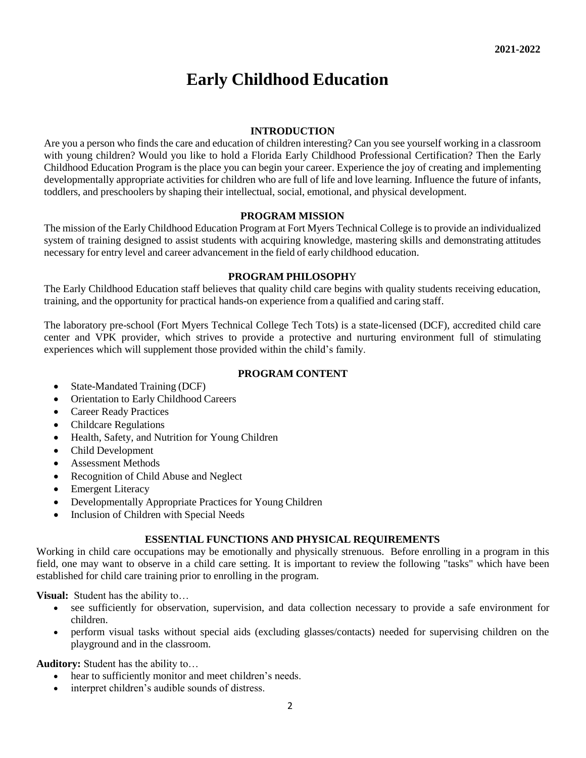## **Early Childhood Education**

### **INTRODUCTION**

Are you a person who finds the care and education of children interesting? Can you see yourself working in a classroom with young children? Would you like to hold a Florida Early Childhood Professional Certification? Then the Early Childhood Education Program is the place you can begin your career. Experience the joy of creating and implementing developmentally appropriate activities for children who are full of life and love learning. Influence the future of infants, toddlers, and preschoolers by shaping their intellectual, social, emotional, and physical development.

### **PROGRAM MISSION**

The mission of the Early Childhood Education Program at Fort Myers Technical College is to provide an individualized system of training designed to assist students with acquiring knowledge, mastering skills and demonstrating attitudes necessary for entry level and career advancement in the field of early childhood education.

### **PROGRAM PHILOSOPH**Y

The Early Childhood Education staff believes that quality child care begins with quality students receiving education, training, and the opportunity for practical hands-on experience from a qualified and caring staff.

The laboratory pre-school (Fort Myers Technical College Tech Tots) is a state-licensed (DCF), accredited child care center and VPK provider, which strives to provide a protective and nurturing environment full of stimulating experiences which will supplement those provided within the child's family.

### **PROGRAM CONTENT**

- State-Mandated Training (DCF)
- Orientation to Early Childhood Careers
- Career Ready Practices
- Childcare Regulations
- Health, Safety, and Nutrition for Young Children
- Child Development
- Assessment Methods
- Recognition of Child Abuse and Neglect
- Emergent Literacy
- Developmentally Appropriate Practices for Young Children
- Inclusion of Children with Special Needs

### **ESSENTIAL FUNCTIONS AND PHYSICAL REQUIREMENTS**

Working in child care occupations may be emotionally and physically strenuous. Before enrolling in a program in this field, one may want to observe in a child care setting. It is important to review the following "tasks" which have been established for child care training prior to enrolling in the program.

**Visual:** Student has the ability to…

- see sufficiently for observation, supervision, and data collection necessary to provide a safe environment for children.
- perform visual tasks without special aids (excluding glasses/contacts) needed for supervising children on the playground and in the classroom.

**Auditory:** Student has the ability to…

- hear to sufficiently monitor and meet children's needs.
- interpret children's audible sounds of distress.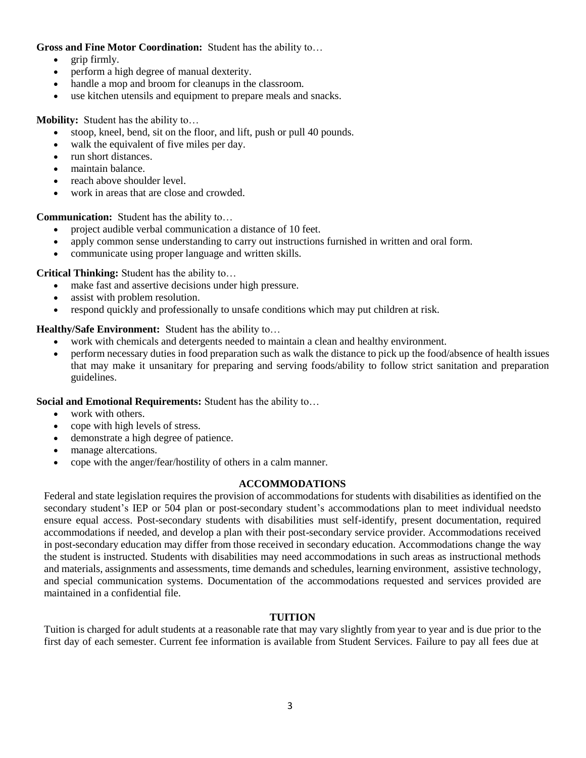### **Gross and Fine Motor Coordination:** Student has the ability to…

- grip firmly.
- perform a high degree of manual dexterity.
- handle a mop and broom for cleanups in the classroom.
- use kitchen utensils and equipment to prepare meals and snacks.

**Mobility:** Student has the ability to…

- stoop, kneel, bend, sit on the floor, and lift, push or pull 40 pounds.
- walk the equivalent of five miles per day.
- run short distances.
- maintain balance.
- reach above shoulder level.
- work in areas that are close and crowded.

**Communication:** Student has the ability to…

- project audible verbal communication a distance of 10 feet.
- apply common sense understanding to carry out instructions furnished in written and oral form.
- communicate using proper language and written skills.

**Critical Thinking:** Student has the ability to…

- make fast and assertive decisions under high pressure.
- assist with problem resolution.
- respond quickly and professionally to unsafe conditions which may put children at risk.

**Healthy/Safe Environment:** Student has the ability to…

- work with chemicals and detergents needed to maintain a clean and healthy environment.
- perform necessary duties in food preparation such as walk the distance to pick up the food/absence of health issues that may make it unsanitary for preparing and serving foods/ability to follow strict sanitation and preparation guidelines.

**Social and Emotional Requirements:** Student has the ability to…

- work with others.
- cope with high levels of stress.
- demonstrate a high degree of patience.
- manage altercations.
- cope with the anger/fear/hostility of others in a calm manner.

### **ACCOMMODATIONS**

Federal and state legislation requires the provision of accommodations for students with disabilities as identified on the secondary student's IEP or 504 plan or post-secondary student's accommodations plan to meet individual needsto ensure equal access. Post-secondary students with disabilities must self-identify, present documentation, required accommodations if needed, and develop a plan with their post-secondary service provider. Accommodations received in post-secondary education may differ from those received in secondary education. Accommodations change the way the student is instructed. Students with disabilities may need accommodations in such areas as instructional methods and materials, assignments and assessments, time demands and schedules, learning environment, assistive technology, and special communication systems. Documentation of the accommodations requested and services provided are maintained in a confidential file.

### **TUITION**

Tuition is charged for adult students at a reasonable rate that may vary slightly from year to year and is due prior to the first day of each semester. Current fee information is available from Student Services. Failure to pay all fees due at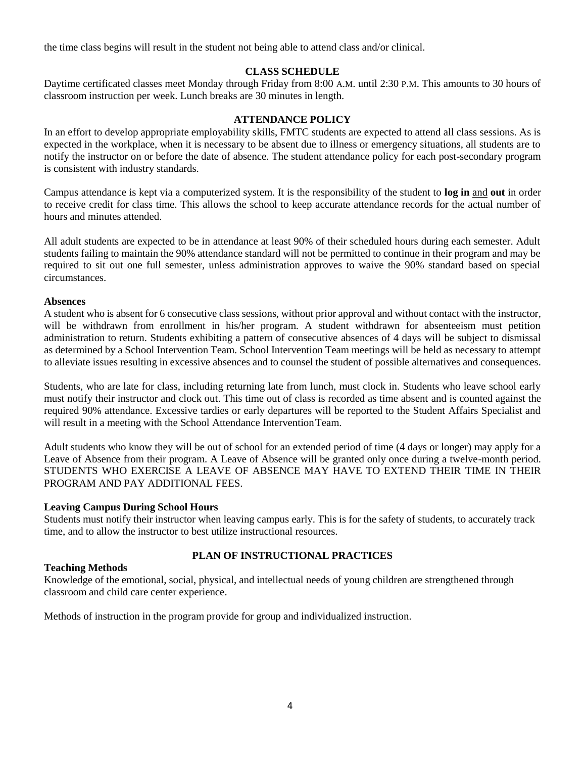the time class begins will result in the student not being able to attend class and/or clinical.

### **CLASS SCHEDULE**

Daytime certificated classes meet Monday through Friday from 8:00 A.M. until 2:30 P.M. This amounts to 30 hours of classroom instruction per week. Lunch breaks are 30 minutes in length.

### **ATTENDANCE POLICY**

In an effort to develop appropriate employability skills, FMTC students are expected to attend all class sessions. As is expected in the workplace, when it is necessary to be absent due to illness or emergency situations, all students are to notify the instructor on or before the date of absence. The student attendance policy for each post-secondary program is consistent with industry standards.

Campus attendance is kept via a computerized system. It is the responsibility of the student to **log in** and **out** in order to receive credit for class time. This allows the school to keep accurate attendance records for the actual number of hours and minutes attended.

All adult students are expected to be in attendance at least 90% of their scheduled hours during each semester. Adult students failing to maintain the 90% attendance standard will not be permitted to continue in their program and may be required to sit out one full semester, unless administration approves to waive the 90% standard based on special circumstances.

### **Absences**

A student who is absent for 6 consecutive class sessions, without prior approval and without contact with the instructor, will be withdrawn from enrollment in his/her program. A student withdrawn for absenteeism must petition administration to return. Students exhibiting a pattern of consecutive absences of 4 days will be subject to dismissal as determined by a School Intervention Team. School Intervention Team meetings will be held as necessary to attempt to alleviate issues resulting in excessive absences and to counsel the student of possible alternatives and consequences.

Students, who are late for class, including returning late from lunch, must clock in. Students who leave school early must notify their instructor and clock out. This time out of class is recorded as time absent and is counted against the required 90% attendance. Excessive tardies or early departures will be reported to the Student Affairs Specialist and will result in a meeting with the School Attendance Intervention Team.

Adult students who know they will be out of school for an extended period of time (4 days or longer) may apply for a Leave of Absence from their program. A Leave of Absence will be granted only once during a twelve-month period. STUDENTS WHO EXERCISE A LEAVE OF ABSENCE MAY HAVE TO EXTEND THEIR TIME IN THEIR PROGRAM AND PAY ADDITIONAL FEES.

### **Leaving Campus During School Hours**

Students must notify their instructor when leaving campus early. This is for the safety of students, to accurately track time, and to allow the instructor to best utilize instructional resources.

### **PLAN OF INSTRUCTIONAL PRACTICES**

### **Teaching Methods**

Knowledge of the emotional, social, physical, and intellectual needs of young children are strengthened through classroom and child care center experience.

Methods of instruction in the program provide for group and individualized instruction.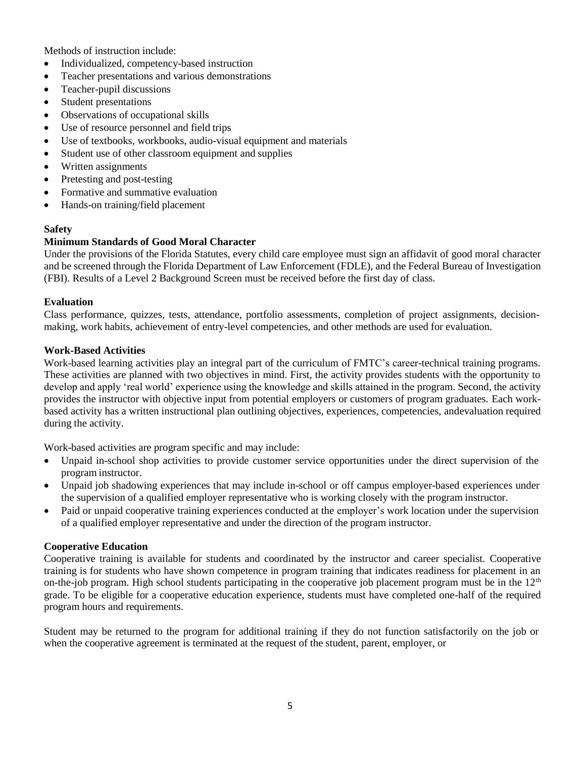Methods of instruction include:

- Individualized, competency-based instruction
- Teacher presentations and various demonstrations
- Teacher-pupil discussions
- Student presentations
- Observations of occupational skills
- Use of resource personnel and field trips
- Use of textbooks, workbooks, audio-visual equipment and materials
- Student use of other classroom equipment and supplies
- Written assignments
- Pretesting and post-testing
- Formative and summative evaluation
- Hands-on training/field placement

### **Safety**

### **Minimum Standards of Good Moral Character**

Under the provisions of the Florida Statutes, every child care employee must sign an affidavit of good moral character and be screened through the Florida Department of Law Enforcement (FDLE), and the Federal Bureau of Investigation (FBI). Results of a Level 2 Background Screen must be received before the first day of class.

### **Evaluation**

Class performance, quizzes, tests, attendance, portfolio assessments, completion of project assignments, decisionmaking, work habits, achievement of entry-level competencies, and other methods are used for evaluation.

### **Work-Based Activities**

Work-based learning activities play an integral part of the curriculum of FMTC's career-technical training programs. These activities are planned with two objectives in mind. First, the activity provides students with the opportunity to develop and apply 'real world' experience using the knowledge and skills attained in the program. Second, the activity provides the instructor with objective input from potential employers or customers of program graduates. Each workbased activity has a written instructional plan outlining objectives, experiences, competencies, andevaluation required during the activity.

Work-based activities are program specific and may include:

- Unpaid in-school shop activities to provide customer service opportunities under the direct supervision of the program instructor.
- Unpaid job shadowing experiences that may include in-school or off campus employer-based experiences under the supervision of a qualified employer representative who is working closely with the program instructor.
- Paid or unpaid cooperative training experiences conducted at the employer's work location under the supervision of a qualified employer representative and under the direction of the program instructor.

### **Cooperative Education**

Cooperative training is available for students and coordinated by the instructor and career specialist. Cooperative training is for students who have shown competence in program training that indicates readiness for placement in an on-the-job program. High school students participating in the cooperative job placement program must be in the  $12<sup>th</sup>$ grade. To be eligible for a cooperative education experience, students must have completed one-half of the required program hours and requirements.

Student may be returned to the program for additional training if they do not function satisfactorily on the job or when the cooperative agreement is terminated at the request of the student, parent, employer, or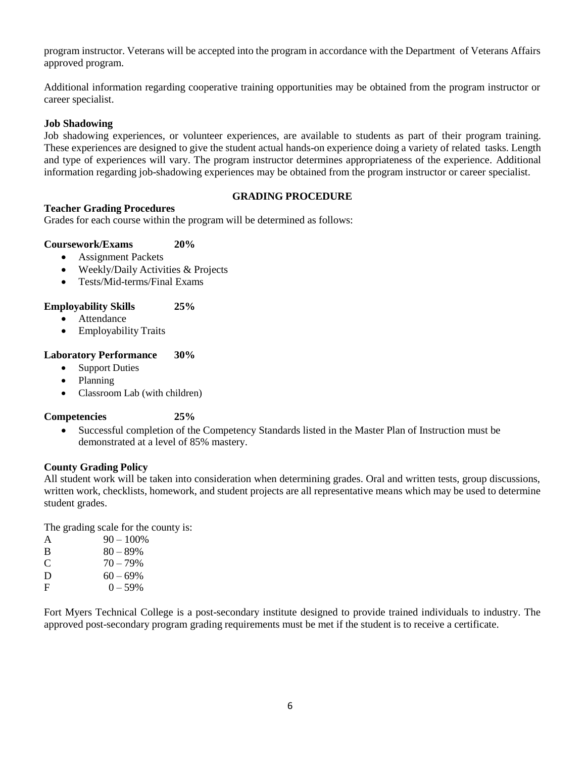program instructor. Veterans will be accepted into the program in accordance with the Department of Veterans Affairs approved program.

Additional information regarding cooperative training opportunities may be obtained from the program instructor or career specialist.

### **Job Shadowing**

Job shadowing experiences, or volunteer experiences, are available to students as part of their program training. These experiences are designed to give the student actual hands-on experience doing a variety of related tasks. Length and type of experiences will vary. The program instructor determines appropriateness of the experience. Additional information regarding job-shadowing experiences may be obtained from the program instructor or career specialist.

### **Teacher Grading Procedures**

### **GRADING PROCEDURE**

Grades for each course within the program will be determined as follows:

### **Coursework/Exams 20%**

- Assignment Packets
- Weekly/Daily Activities & Projects
- Tests/Mid-terms/Final Exams

### **Employability Skills 25%**

- Attendance
- Employability Traits

### **Laboratory Performance 30%**

- Support Duties
- Planning
- Classroom Lab (with children)

### **Competencies 25%**

• Successful completion of the Competency Standards listed in the Master Plan of Instruction must be demonstrated at a level of 85% mastery.

### **County Grading Policy**

All student work will be taken into consideration when determining grades. Oral and written tests, group discussions, written work, checklists, homework, and student projects are all representative means which may be used to determine student grades.

The grading scale for the county is:

| A | $90 - 100\%$ |
|---|--------------|
| B | $80 - 89\%$  |
| C | $70 - 79\%$  |
| D | $60 - 69\%$  |
| F | $0 - 59\%$   |

Fort Myers Technical College is a post-secondary institute designed to provide trained individuals to industry. The approved post-secondary program grading requirements must be met if the student is to receive a certificate.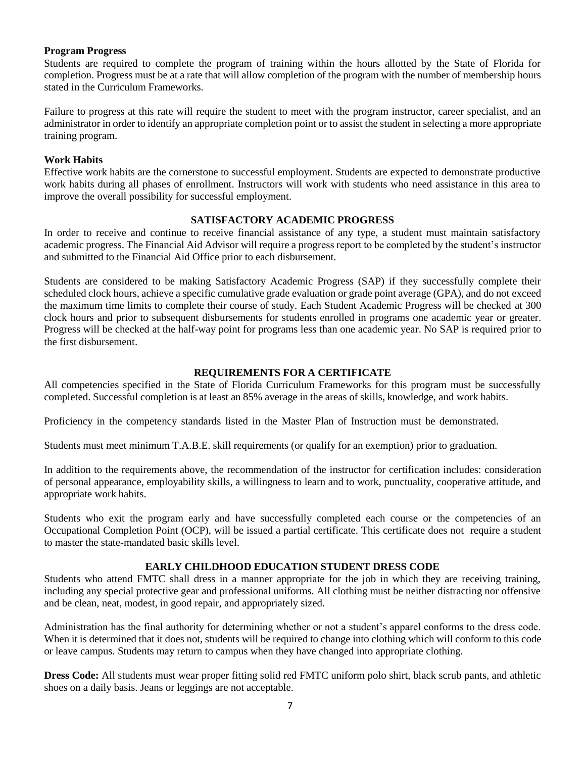### **Program Progress**

Students are required to complete the program of training within the hours allotted by the State of Florida for completion. Progress must be at a rate that will allow completion of the program with the number of membership hours stated in the Curriculum Frameworks.

Failure to progress at this rate will require the student to meet with the program instructor, career specialist, and an administrator in order to identify an appropriate completion point or to assist the student in selecting a more appropriate training program.

### **Work Habits**

Effective work habits are the cornerstone to successful employment. Students are expected to demonstrate productive work habits during all phases of enrollment. Instructors will work with students who need assistance in this area to improve the overall possibility for successful employment.

### **SATISFACTORY ACADEMIC PROGRESS**

In order to receive and continue to receive financial assistance of any type, a student must maintain satisfactory academic progress. The Financial Aid Advisor will require a progress report to be completed by the student's instructor and submitted to the Financial Aid Office prior to each disbursement.

Students are considered to be making Satisfactory Academic Progress (SAP) if they successfully complete their scheduled clock hours, achieve a specific cumulative grade evaluation or grade point average (GPA), and do not exceed the maximum time limits to complete their course of study. Each Student Academic Progress will be checked at 300 clock hours and prior to subsequent disbursements for students enrolled in programs one academic year or greater. Progress will be checked at the half-way point for programs less than one academic year. No SAP is required prior to the first disbursement.

### **REQUIREMENTS FOR A CERTIFICATE**

All competencies specified in the State of Florida Curriculum Frameworks for this program must be successfully completed. Successful completion is at least an 85% average in the areas of skills, knowledge, and work habits.

Proficiency in the competency standards listed in the Master Plan of Instruction must be demonstrated.

Students must meet minimum T.A.B.E. skill requirements (or qualify for an exemption) prior to graduation.

In addition to the requirements above, the recommendation of the instructor for certification includes: consideration of personal appearance, employability skills, a willingness to learn and to work, punctuality, cooperative attitude, and appropriate work habits.

Students who exit the program early and have successfully completed each course or the competencies of an Occupational Completion Point (OCP), will be issued a partial certificate. This certificate does not require a student to master the state-mandated basic skills level.

### **EARLY CHILDHOOD EDUCATION STUDENT DRESS CODE**

Students who attend FMTC shall dress in a manner appropriate for the job in which they are receiving training, including any special protective gear and professional uniforms. All clothing must be neither distracting nor offensive and be clean, neat, modest, in good repair, and appropriately sized.

Administration has the final authority for determining whether or not a student's apparel conforms to the dress code. When it is determined that it does not, students will be required to change into clothing which will conform to this code or leave campus. Students may return to campus when they have changed into appropriate clothing.

**Dress Code:** All students must wear proper fitting solid red FMTC uniform polo shirt, black scrub pants, and athletic shoes on a daily basis. Jeans or leggings are not acceptable.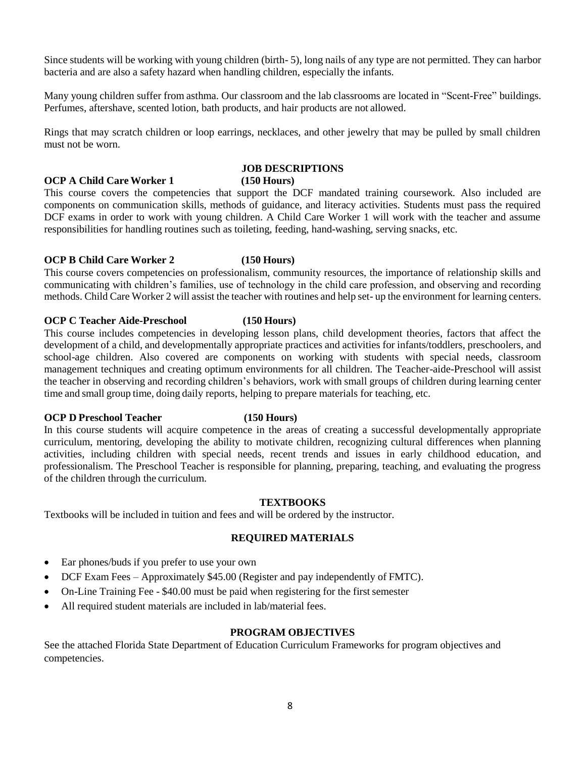Since students will be working with young children (birth- 5), long nails of any type are not permitted. They can harbor bacteria and are also a safety hazard when handling children, especially the infants.

Many young children suffer from asthma. Our classroom and the lab classrooms are located in "Scent-Free" buildings. Perfumes, aftershave, scented lotion, bath products, and hair products are not allowed.

Rings that may scratch children or loop earrings, necklaces, and other jewelry that may be pulled by small children must not be worn.

### **JOB DESCRIPTIONS**

**OCP A Child Care Worker 1 (150 Hours)**

This course covers the competencies that support the DCF mandated training coursework. Also included are components on communication skills, methods of guidance, and literacy activities. Students must pass the required DCF exams in order to work with young children. A Child Care Worker 1 will work with the teacher and assume responsibilities for handling routines such as toileting, feeding, hand-washing, serving snacks, etc.

### **OCP B Child Care Worker 2 (150 Hours)**

This course covers competencies on professionalism, community resources, the importance of relationship skills and communicating with children's families, use of technology in the child care profession, and observing and recording methods. Child Care Worker 2 will assist the teacher with routines and help set- up the environment for learning centers.

### **OCP C Teacher Aide-Preschool (150 Hours)**

This course includes competencies in developing lesson plans, child development theories, factors that affect the development of a child, and developmentally appropriate practices and activities for infants/toddlers, preschoolers, and school-age children. Also covered are components on working with students with special needs, classroom management techniques and creating optimum environments for all children. The Teacher-aide-Preschool will assist the teacher in observing and recording children's behaviors, work with small groups of children during learning center time and small group time, doing daily reports, helping to prepare materials for teaching, etc.

### **OCP D Preschool Teacher (150 Hours)**

In this course students will acquire competence in the areas of creating a successful developmentally appropriate curriculum, mentoring, developing the ability to motivate children, recognizing cultural differences when planning activities, including children with special needs, recent trends and issues in early childhood education, and professionalism. The Preschool Teacher is responsible for planning, preparing, teaching, and evaluating the progress of the children through the curriculum.

### **TEXTBOOKS**

Textbooks will be included in tuition and fees and will be ordered by the instructor.

### **REQUIRED MATERIALS**

- Ear phones/buds if you prefer to use your own
- DCF Exam Fees Approximately \$45.00 (Register and pay independently of FMTC).
- On-Line Training Fee  $-$  \$40.00 must be paid when registering for the first semester
- All required student materials are included in lab/material fees.

### **PROGRAM OBJECTIVES**

See the attached Florida State Department of Education Curriculum Frameworks for program objectives and competencies.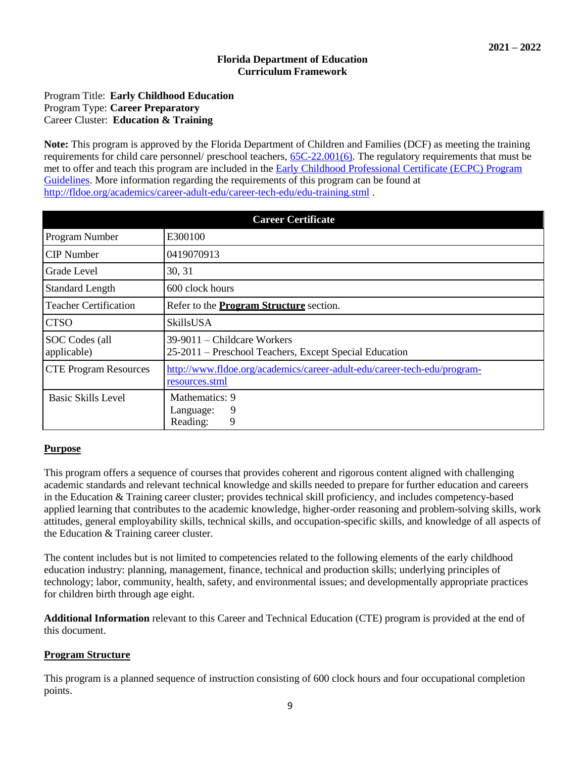### **Florida Department of Education Curriculum Framework**

### Program Title: **Early Childhood Education** Program Type: **Career Preparatory** Career Cluster: **Education & Training**

**Note:** This program is approved by the Florida Department of Children and Families (DCF) as meeting the training requirements for child care personnel/ preschool teachers, [65C-22.001\(6\).](https://www.flrules.org/gateway/ChapterHome.asp?Chapter=65C-22) The regulatory requirements that must be met to offer and teach this program are included in the [Early Childhood Professional Certificate \(ECPC\) Program](http://www.fldoe.org/core/fileparse.php/18703/urlt/ECPC-ProgramGuidelines.pdf) [Guidelines.](http://www.fldoe.org/core/fileparse.php/18703/urlt/ECPC-ProgramGuidelines.pdf) More information regarding the requirements of this program can be found at <http://fldoe.org/academics/career-adult-edu/career-tech-edu/edu-training.stml> .

| <b>Career Certificate</b>     |                                                                                            |  |  |  |  |
|-------------------------------|--------------------------------------------------------------------------------------------|--|--|--|--|
| Program Number                | E300100                                                                                    |  |  |  |  |
| <b>CIP</b> Number             | 0419070913                                                                                 |  |  |  |  |
| Grade Level                   | 30, 31                                                                                     |  |  |  |  |
| <b>Standard Length</b>        | 600 clock hours                                                                            |  |  |  |  |
| <b>Teacher Certification</b>  | Refer to the <b>Program Structure</b> section.                                             |  |  |  |  |
| <b>CTSO</b>                   | SkillsUSA                                                                                  |  |  |  |  |
| SOC Codes (all<br>applicable) | 39-9011 – Childcare Workers<br>25-2011 – Preschool Teachers, Except Special Education      |  |  |  |  |
| <b>CTE Program Resources</b>  | http://www.fldoe.org/academics/career-adult-edu/career-tech-edu/program-<br>resources.stml |  |  |  |  |
| Basic Skills Level            | Mathematics: 9<br>9<br>Language:<br>Reading:<br>9                                          |  |  |  |  |

### **Purpose**

This program offers a sequence of courses that provides coherent and rigorous content aligned with challenging academic standards and relevant technical knowledge and skills needed to prepare for further education and careers in the Education & Training career cluster; provides technical skill proficiency, and includes competency-based applied learning that contributes to the academic knowledge, higher-order reasoning and problem-solving skills, work attitudes, general employability skills, technical skills, and occupation-specific skills, and knowledge of all aspects of the Education & Training career cluster.

The content includes but is not limited to competencies related to the following elements of the early childhood education industry: planning, management, finance, technical and production skills; underlying principles of technology; labor, community, health, safety, and environmental issues; and developmentally appropriate practices for children birth through age eight.

**Additional Information** relevant to this Career and Technical Education (CTE) program is provided at the end of this document.

### **Program Structure**

This program is a planned sequence of instruction consisting of 600 clock hours and four occupational completion points.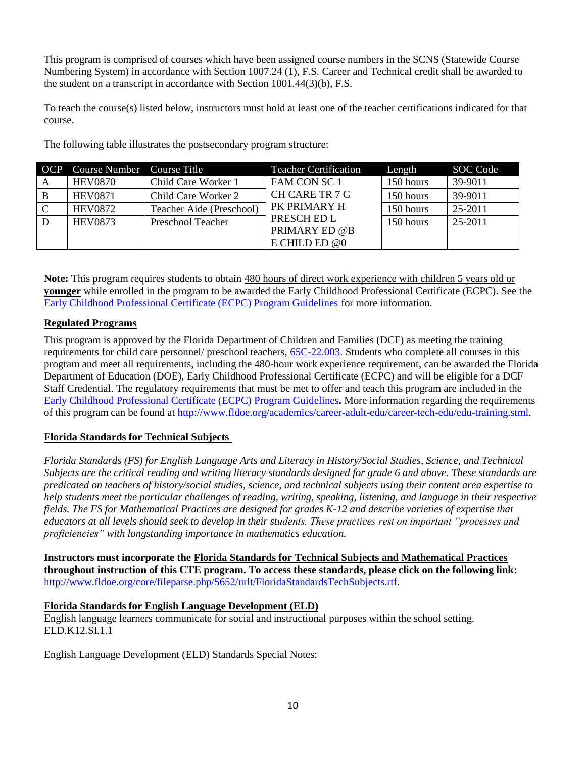This program is comprised of courses which have been assigned course numbers in the SCNS (Statewide Course Numbering System) in accordance with Section 1007.24 (1), F.S. Career and Technical credit shall be awarded to the student on a transcript in accordance with Section 1001.44(3)(b), F.S.

To teach the course(s) listed below, instructors must hold at least one of the teacher certifications indicated for that course.

| OCP         | Course Number Course Title |                          | <b>Teacher Certification</b>                    | Length    | SOC Code |
|-------------|----------------------------|--------------------------|-------------------------------------------------|-----------|----------|
| A           | <b>HEV0870</b>             | Child Care Worker 1      | FAM CON SC 1                                    | 150 hours | 39-9011  |
| B           | <b>HEV0871</b>             | Child Care Worker 2      | CH CARE TR 7 G                                  | 150 hours | 39-9011  |
| $\mathbf C$ | <b>HEV0872</b>             | Teacher Aide (Preschool) | PK PRIMARY H                                    | 150 hours | 25-2011  |
| D           | <b>HEV0873</b>             | <b>Preschool Teacher</b> | PRESCH ED L<br>PRIMARY ED @B<br>E CHILD ED $@0$ | 150 hours | 25-2011  |

The following table illustrates the postsecondary program structure:

**Note:** This program requires students to obtain 480 hours of direct work experience with children 5 years old or **younger** while enrolled in the program to be awarded the Early Childhood Professional Certificate (ECPC)**.** See the Early Childhood [Professional](http://www.fldoe.org/core/fileparse.php/18703/urlt/ECPC-ProgramGuidelines.pdf) Certificate (ECPC) Program Guidelines for more information.

### **Regulated Programs**

This program is approved by the Florida Department of Children and Families (DCF) as meeting the training requirements for child care personnel/ preschool teachers, [65C-22.003.](http://page/) Students who complete all courses in this program and meet all requirements, including the 480-hour work experience requirement, can be awarded the Florida Department of Education (DOE), Early Childhood Professional Certificate (ECPC) and will be eligible for a DCF Staff Credential. The regulatory requirements that must be met to offer and teach this program are included in the [Early Childhood Professional Certificate \(ECPC\) Program Guidelines](http://www.fldoe.org/core/fileparse.php/18703/urlt/ECPC-ProgramGuidelines.pdf)**.** More information regarding the requirements of this program can be found at [http://www.fldoe.org/academics/career-adult-edu/career-tech-edu/edu-training.stml.](http://www.fldoe.org/academics/career-adult-edu/career-tech-edu/edu-training.stml)

### **Florida Standards for Technical Subjects**

*Florida Standards (FS) for English Language Arts and Literacy in History/Social Studies, Science, and Technical Subjects are the critical reading and writing literacy standards designed for grade 6 and above. These standards are predicated on teachers of history/social studies, science, and technical subjects using their content area expertise to help students meet the particular challenges of reading, writing, speaking, listening, and language in their respective fields. The FS for Mathematical Practices are designed for grades K-12 and describe varieties of expertise that educators at all levels should seek to develop in their students. These practices rest on important "processes and proficiencies" with longstanding importance in mathematics education.*

**Instructors must incorporate the Florida Standards for Technical Subjects and Mathematical Practices throughout instruction of this CTE program. To access these standards, please click on the following link:** [http://www.fldoe.org/core/fileparse.php/5652/urlt/FloridaStandardsTechSubjects.rtf.](http://www.fldoe.org/core/fileparse.php/5652/urlt/FloridaStandardsTechSubjects.rtf)

### **Florida Standards for English Language Development (ELD)**

English language learners communicate for social and instructional purposes within the school setting. ELD.K12.SI.1.1

English Language Development (ELD) Standards Special Notes: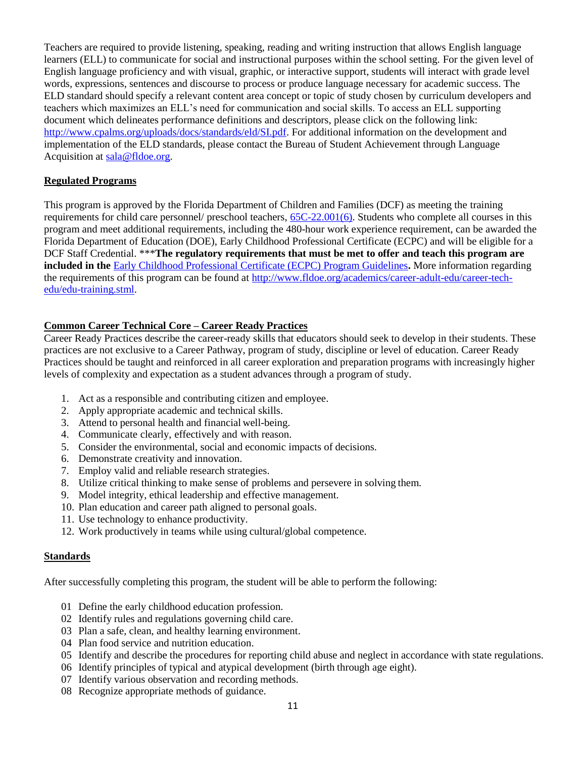Teachers are required to provide listening, speaking, reading and writing instruction that allows English language learners (ELL) to communicate for social and instructional purposes within the school setting. For the given level of English language proficiency and with visual, graphic, or interactive support, students will interact with grade level words, expressions, sentences and discourse to process or produce language necessary for academic success. The ELD standard should specify a relevant content area concept or topic of study chosen by curriculum developers and teachers which maximizes an ELL's need for communication and social skills. To access an ELL supporting document which delineates performance definitions and descriptors, please click on the following link: [http://www.cpalms.org/uploads/docs/standards/eld/SI.pdf.](http://www.cpalms.org/uploads/docs/standards/eld/SI.pdf) For additional information on the development and implementation of the ELD standards, please contact the Bureau of Student Achievement through Language Acquisition at [sala@fldoe.org.](mailto:sala@fldoe.org)

### **Regulated Programs**

This program is approved by the Florida Department of Children and Families (DCF) as meeting the training requirements for child care personnel/ preschool teachers, [65C-22.001\(6\).](https://www.flrules.org/gateway/ChapterHome.asp?Chapter=65C-22) Students who complete all courses in this program and meet additional requirements, including the 480-hour work experience requirement, can be awarded the Florida Department of Education (DOE), Early Childhood Professional Certificate (ECPC) and will be eligible for a DCF Staff Credential. \*\*\***The regulatory requirements that must be met to offer and teach this program are included in the** [Early Childhood Professional Certificate \(ECPC\) Program Guidelines](http://www.fldoe.org/core/fileparse.php/18703/urlt/ECPC-ProgramGuidelines.pdf)**.** More information regarding the requirements of this program can be found at [http://www.fldoe.org/academics/career-adult-edu/career-tech](http://www.fldoe.org/academics/career-adult-edu/career-tech-edu/edu-training.stml)[edu/edu-training.stml.](http://www.fldoe.org/academics/career-adult-edu/career-tech-edu/edu-training.stml)

### **Common Career Technical Core – Career Ready Practices**

Career Ready Practices describe the career-ready skills that educators should seek to develop in their students. These practices are not exclusive to a Career Pathway, program of study, discipline or level of education. Career Ready Practices should be taught and reinforced in all career exploration and preparation programs with increasingly higher levels of complexity and expectation as a student advances through a program of study.

- 1. Act as a responsible and contributing citizen and employee.
- 2. Apply appropriate academic and technical skills.
- 3. Attend to personal health and financial well-being.
- 4. Communicate clearly, effectively and with reason.
- 5. Consider the environmental, social and economic impacts of decisions.
- 6. Demonstrate creativity and innovation.
- 7. Employ valid and reliable research strategies.
- 8. Utilize critical thinking to make sense of problems and persevere in solving them.
- 9. Model integrity, ethical leadership and effective management.
- 10. Plan education and career path aligned to personal goals.
- 11. Use technology to enhance productivity.
- 12. Work productively in teams while using cultural/global competence.

### **Standards**

After successfully completing this program, the student will be able to perform the following:

- 01 Define the early childhood education profession.
- 02 Identify rules and regulations governing child care.
- 03 Plan a safe, clean, and healthy learning environment.
- 04 Plan food service and nutrition education.
- 05 Identify and describe the procedures for reporting child abuse and neglect in accordance with state regulations.
- 06 Identify principles of typical and atypical development (birth through age eight).
- 07 Identify various observation and recording methods.
- 08 Recognize appropriate methods of guidance.